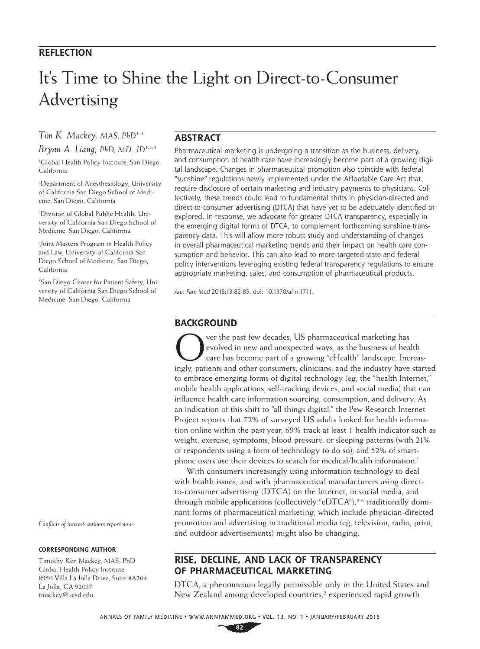### **REFLECTION**

# It's Time to Shine the Light on Direct-to-Consumer Advertising

*Tim K. Mackey, MAS, PhD1-5*

*Bryan A. Liang, PhD, MD, JD1,4,5* 1 Global Health Policy Institute, San Diego, California

2 Department of Anesthesiology, University of California San Diego School of Medicine, San Diego, California

3 Division of Global Public Health, University of California San Diego School of Medicine, San Diego, California

4 Joint Masters Program in Health Policy and Law, University of California San Diego School of Medicine, San Diego, California

5 San Diego Center for Patient Safety, University of California San Diego School of Medicine, San Diego, California

*Conflicts of interest: authors report none.* 

#### **CORRESPONDING AUTHOR**

Timothy Ken Mackey, MAS, PhD Global Health Policy Institute 8950 Villa La Jolla Drive, Suite #A204 La Jolla, CA 92037 tmackey@ucsd.edu

#### **ABSTRACT**

Pharmaceutical marketing is undergoing a transition as the business, delivery, and consumption of health care have increasingly become part of a growing digital landscape. Changes in pharmaceutical promotion also coincide with federal "sunshine" regulations newly implemented under the Affordable Care Act that require disclosure of certain marketing and industry payments to physicians. Collectively, these trends could lead to fundamental shifts in physician-directed and direct-to-consumer advertising (DTCA) that have yet to be adequately identified or explored. In response, we advocate for greater DTCA transparency, especially in the emerging digital forms of DTCA, to complement forthcoming sunshine transparency data. This will allow more robust study and understanding of changes in overall pharmaceutical marketing trends and their impact on health care consumption and behavior. This can also lead to more targeted state and federal policy interventions leveraging existing federal transparency regulations to ensure appropriate marketing, sales, and consumption of pharmaceutical products.

*Ann Fam Med* 2015;13:82-85. doi: 10.1370/afm.1711.

#### **BACKGROUND**

Over the past few decades, US pharmaceutical marketing has<br>
evolved in new and unexpected ways, as the business of heal<br>
care has become part of a growing "eHealth" landscape. Inclining<br>
industry have a growing straight an evolved in new and unexpected ways, as the business of health care has become part of a growing "eHealth" landscape. Increasingly, patients and other consumers, clinicians, and the industry have started to embrace emerging forms of digital technology (eg, the "health Internet," mobile health applications, self-tracking devices, and social media) that can influence health care information sourcing, consumption, and delivery. As an indication of this shift to "all things digital," the Pew Research Internet Project reports that 72% of surveyed US adults looked for health information online within the past year, 69% track at least 1 health indicator such as weight, exercise, symptoms, blood pressure, or sleeping patterns (with 21% of respondents using a form of technology to do so), and 52% of smartphone users use their devices to search for medical/health information.<sup>1</sup>

With consumers increasingly using information technology to deal with health issues, and with pharmaceutical manufacturers using directto-consumer advertising (DTCA) on the Internet, in social media, and through mobile applications (collectively "eDTCA"), $3-6$  traditionally dominant forms of pharmaceutical marketing, which include physician-directed promotion and advertising in traditional media (eg, television, radio, print, and outdoor advertisements) might also be changing.

## **RISE, DECLINE, AND LACK OF TRANSPARENCY OF PHARMACEUTICAL MARKETING**

DTCA, a phenomenon legally permissible only in the United States and New Zealand among developed countries,<sup>2</sup> experienced rapid growth

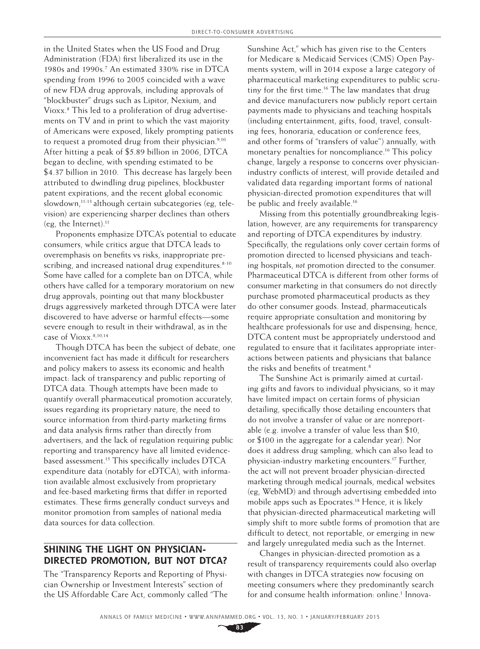in the United States when the US Food and Drug Administration (FDA) first liberalized its use in the 1980s and 1990s.7 An estimated 330% rise in DTCA spending from 1996 to 2005 coincided with a wave of new FDA drug approvals, including approvals of "blockbuster" drugs such as Lipitor, Nexium, and Vioxx.8 This led to a proliferation of drug advertisements on TV and in print to which the vast majority of Americans were exposed, likely prompting patients to request a promoted drug from their physician. $9,10$ After hitting a peak of \$5.89 billion in 2006, DTCA began to decline, with spending estimated to be \$4.37 billion in 2010. This decrease has largely been attributed to dwindling drug pipelines, blockbuster patent expirations, and the recent global economic slowdown, $11-13$  although certain subcategories (eg, television) are experiencing sharper declines than others (eg, the Internet).11

Proponents emphasize DTCA's potential to educate consumers, while critics argue that DTCA leads to overemphasis on benefits vs risks, inappropriate prescribing, and increased national drug expenditures. $8-10$ Some have called for a complete ban on DTCA, while others have called for a temporary moratorium on new drug approvals, pointing out that many blockbuster drugs aggressively marketed through DTCA were later discovered to have adverse or harmful effects—some severe enough to result in their withdrawal, as in the case of Vioxx.<sup>8,10,14</sup>

Though DTCA has been the subject of debate, one inconvenient fact has made it difficult for researchers and policy makers to assess its economic and health impact: lack of transparency and public reporting of DTCA data. Though attempts have been made to quantify overall pharmaceutical promotion accurately, issues regarding its proprietary nature, the need to source information from third-party marketing firms and data analysis firms rather than directly from advertisers, and the lack of regulation requiring public reporting and transparency have all limited evidencebased assessment.15 This specifically includes DTCA expenditure data (notably for eDTCA), with information available almost exclusively from proprietary and fee-based marketing firms that differ in reported estimates. These firms generally conduct surveys and monitor promotion from samples of national media data sources for data collection.

#### **SHINING THE LIGHT ON PHYSICIAN-DIRECTED PROMOTION, BUT NOT DTCA?**

The "Transparency Reports and Reporting of Physician Ownership or Investment Interests" section of the US Affordable Care Act, commonly called "The

Sunshine Act," which has given rise to the Centers for Medicare & Medicaid Services (CMS) Open Payments system, will in 2014 expose a large category of pharmaceutical marketing expenditures to public scrutiny for the first time.<sup>16</sup> The law mandates that drug and device manufacturers now publicly report certain payments made to physicians and teaching hospitals (including entertainment, gifts, food, travel, consulting fees, honoraria, education or conference fees, and other forms of "transfers of value") annually, with monetary penalties for noncompliance.<sup>16</sup> This policy change, largely a response to concerns over physicianindustry conflicts of interest, will provide detailed and validated data regarding important forms of national physician-directed promotion expenditures that will be public and freely available.<sup>16</sup>

Missing from this potentially groundbreaking legislation, however, are any requirements for transparency and reporting of DTCA expenditures by industry. Specifically, the regulations only cover certain forms of promotion directed to licensed physicians and teaching hospitals, *not* promotion directed to the consumer. Pharmaceutical DTCA is different from other forms of consumer marketing in that consumers do not directly purchase promoted pharmaceutical products as they do other consumer goods. Instead, pharmaceuticals require appropriate consultation and monitoring by healthcare professionals for use and dispensing; hence, DTCA content must be appropriately understood and regulated to ensure that it facilitates appropriate interactions between patients and physicians that balance the risks and benefits of treatment.<sup>8</sup>

The Sunshine Act is primarily aimed at curtailing gifts and favors to individual physicians, so it may have limited impact on certain forms of physician detailing, specifically those detailing encounters that do not involve a transfer of value or are nonreportable (e.g. involve a transfer of value less than \$10, or \$100 in the aggregate for a calendar year). Nor does it address drug sampling, which can also lead to physician-industry marketing encounters.17 Further, the act will not prevent broader physician-directed marketing through medical journals, medical websites (eg, WebMD) and through advertising embedded into mobile apps such as Epocrates.<sup>18</sup> Hence, it is likely that physician-directed pharmaceutical marketing will simply shift to more subtle forms of promotion that are difficult to detect, not reportable, or emerging in new and largely unregulated media such as the Internet.

Changes in physician-directed promotion as a result of transparency requirements could also overlap with changes in DTCA strategies now focusing on meeting consumers where they predominantly search for and consume health information: online.<sup>1</sup> Innova-

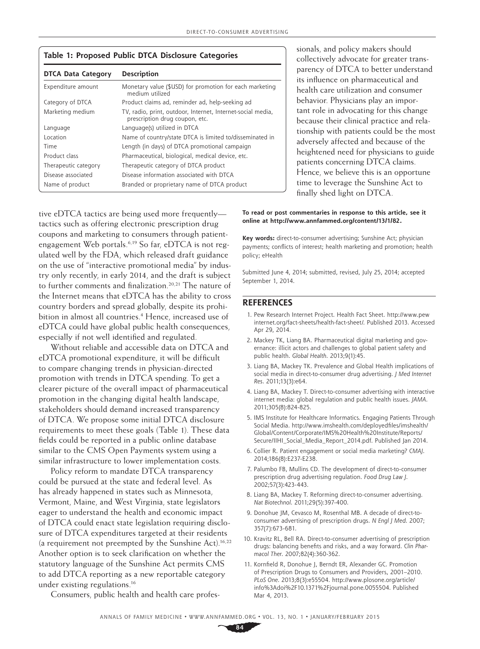| Table 1: Proposed Public DTCA Disclosure Categories |                                                                                               |
|-----------------------------------------------------|-----------------------------------------------------------------------------------------------|
| <b>DTCA Data Category</b>                           | <b>Description</b>                                                                            |
| Expenditure amount                                  | Monetary value (\$USD) for promotion for each marketing<br>medium utilized                    |
| Category of DTCA                                    | Product claims ad, reminder ad, help-seeking ad                                               |
| Marketing medium                                    | TV, radio, print, outdoor, Internet, Internet-social media,<br>prescription drug coupon, etc. |
| Language                                            | Language(s) utilized in DTCA                                                                  |
| Location                                            | Name of country/state DTCA is limited to/disseminated in                                      |
| Time                                                | Length (in days) of DTCA promotional campaign                                                 |
| Product class                                       | Pharmaceutical, biological, medical device, etc.                                              |
| Therapeutic category                                | Therapeutic category of DTCA product                                                          |
| Disease associated                                  | Disease information associated with DTCA                                                      |
| Name of product                                     | Branded or proprietary name of DTCA product                                                   |

sionals, and policy makers should collectively advocate for greater transparency of DTCA to better understand its influence on pharmaceutical and health care utilization and consumer behavior. Physicians play an important role in advocating for this change because their clinical practice and relationship with patients could be the most adversely affected and because of the heightened need for physicians to guide patients concerning DTCA claims. Hence, we believe this is an opportune time to leverage the Sunshine Act to finally shed light on DTCA.

tive eDTCA tactics are being used more frequently tactics such as offering electronic prescription drug coupons and marketing to consumers through patientengagement Web portals.<sup>6,19</sup> So far, eDTCA is not regulated well by the FDA, which released draft guidance on the use of "interactive promotional media" by industry only recently, in early 2014, and the draft is subject to further comments and finalization.<sup>20,21</sup> The nature of the Internet means that eDTCA has the ability to cross country borders and spread globally, despite its prohibition in almost all countries.4 Hence, increased use of eDTCA could have global public health consequences, especially if not well identified and regulated.

Without reliable and accessible data on DTCA and eDTCA promotional expenditure, it will be difficult to compare changing trends in physician-directed promotion with trends in DTCA spending. To get a clearer picture of the overall impact of pharmaceutical promotion in the changing digital health landscape, stakeholders should demand increased transparency of DTCA. We propose some initial DTCA disclosure requirements to meet these goals (Table 1). These data fields could be reported in a public online database similar to the CMS Open Payments system using a similar infrastructure to lower implementation costs.

Policy reform to mandate DTCA transparency could be pursued at the state and federal level. As has already happened in states such as Minnesota, Vermont, Maine, and West Virginia, state legislators eager to understand the health and economic impact of DTCA could enact state legislation requiring disclosure of DTCA expenditures targeted at their residents (a requirement not preempted by the Sunshine Act).16,22 Another option is to seek clarification on whether the statutory language of the Sunshine Act permits CMS to add DTCA reporting as a new reportable category under existing regulations.16

Consumers, public health and health care profes-

**To read or post commentaries in response to this article, see it online at http://www.annfammed.org/content/13/1/82.**

**Key words:** direct-to-consumer advertising; Sunshine Act; physician payments; conflicts of interest; health marketing and promotion; health policy; eHealth

Submitted June 4, 2014; submitted, revised, July 25, 2014; accepted September 1, 2014.

#### **REFERENCES**

- 1. Pew Research Internet Project. Health Fact Sheet. http://www.pew internet.org/fact-sheets/health-fact-sheet/. Published 2013. Accessed Apr 29, 2014.
- 2. Mackey TK, Liang BA. Pharmaceutical digital marketing and governance: illicit actors and challenges to global patient safety and public health. *Global Health*. 2013;9(1):45.
- 3. Liang BA, Mackey TK. Prevalence and Global Health implications of social media in direct-to-consumer drug advertising. *J Med Internet Res*. 2011;13(3):e64.
- 4. Liang BA, Mackey T. Direct-to-consumer advertising with interactive internet media: global regulation and public health issues. *JAMA*. 2011;305(8):824-825.
- 5. IMS Institute for Healthcare Informatics. Engaging Patients Through Social Media. http://www.imshealth.com/deployedfiles/imshealth/ Global/Content/Corporate/IMS%20Health%20Institute/Reports/ Secure/IIHI\_Social\_Media\_Report\_2014.pdf. Published Jan 2014.
- 6. Collier R. Patient engagement or social media marketing? *CMAJ*. 2014;186(8):E237-E238.
- 7. Palumbo FB, Mullins CD. The development of direct-to-consumer prescription drug advertising regulation. *Food Drug Law J*. 2002;57(3):423-443.
- 8. Liang BA, Mackey T. Reforming direct-to-consumer advertising. *Nat Biotechnol*. 2011;29(5):397-400.
- 9. Donohue JM, Cevasco M, Rosenthal MB. A decade of direct-toconsumer advertising of prescription drugs. *N Engl J Med*. 2007; 357(7):673-681.
- 10. Kravitz RL, Bell RA. Direct-to-consumer advertising of prescription drugs: balancing benefits and risks, and a way forward. *Clin Pharmacol Ther*. 2007;82(4):360-362.
- 11. Kornfield R, Donohue J, Berndt ER, Alexander GC. Promotion of Prescription Drugs to Consumers and Providers, 2001–2010. *PLoS One*. 2013;8(3):e55504. [http://www.plosone.org/article/](http://www.plosone.org/article/info%3Adoi%2F10.1371%2Fjournal.pone.0055504) [info%3Adoi%2F10.1371%2Fjournal.pone.0055504.](http://www.plosone.org/article/info%3Adoi%2F10.1371%2Fjournal.pone.0055504) Published Mar 4, 2013.

ANNALS OF FAMILY MEDICINE ✦ WWW.ANNFAMMED.ORG ✦ VOL. 13, NO. 1 ✦ JANUARY/FEBRUARY 2015